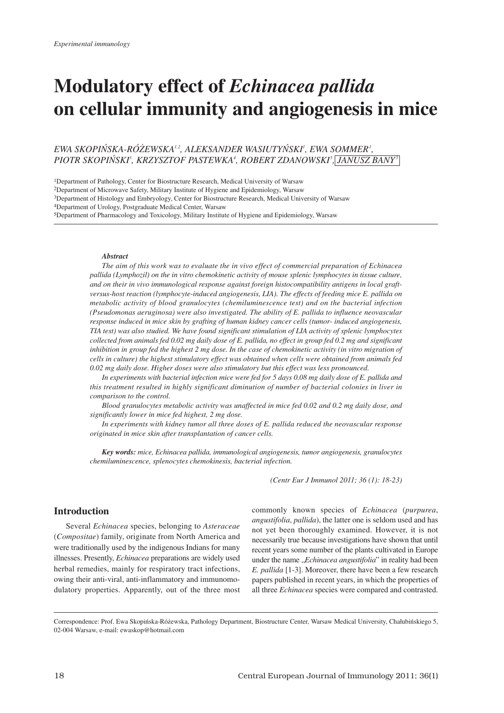# **Modulatory effect of** *Echinacea pallida* **on cellular immunity and angiogenesis in mice**

*EWA SKOPIÑSKA-RÓ¯EWSKA1,2, ALEKSANDER WASIUTYÑSKI1 , EWA SOMMER1 , PIOTR SKOPIÑSKI3 , KRZYSZTOF PASTEWKA4 , ROBERT ZDANOWSKI5 , JANUSZ BANY5*

1Department of Pathology, Center for Biostructure Research, Medical University of Warsaw

2Department of Microwave Safety, Military Institute of Hygiene and Epidemiology, Warsaw

4Department of Urology, Postgraduate Medical Center, Warsaw

5Department of Pharmacology and Toxicology, Military Institute of Hygiene and Epidemiology, Warsaw

#### *Abstract*

*The aim of this work was to evaluate the in vivo effect of commercial preparation of Echinacea pallida (Lymphozil) on the in vitro chemokinetic activity of mouse splenic lymphocytes in tissue culture, and on their in vivo immunological response against foreign histocompatibility antigens in local graftversus-host reaction (lymphocyte-induced angiogenesis, LIA). The effects of feeding mice E. pallida on metabolic activity of blood granulocytes (chemiluminescence test) and on the bacterial infection (Pseudomonas aeruginosa) were also investigated. The ability of E. pallida to influence neovascular response induced in mice skin by grafting of human kidney cancer cells (tumor- induced angiogenesis, TIA test) was also studied. We have found significant stimulation of LIA activity of splenic lymphocytes collected from animals fed 0.02 mg daily dose of E. pallida, no effect in group fed 0.2 mg and significant inhibition in group fed the highest 2 mg dose. In the case of chemokinetic activity (in vitro migration of cells in culture) the highest stimulatory effect was obtained when cells were obtained from animals fed 0.02 mg daily dose. Higher doses were also stimulatory but this effect was less pronounced.* 

*In experiments with bacterial infection mice were fed for 5 days 0.08 mg daily dose of E. pallida and this treatment resulted in highly significant diminution of number of bacterial colonies in liver in comparison to the control.* 

*Blood granulocytes metabolic activity was unaffected in mice fed 0.02 and 0.2 mg daily dose, and significantly lower in mice fed highest, 2 mg dose.* 

*In experiments with kidney tumor all three doses of E. pallida reduced the neovascular response originated in mice skin after transplantation of cancer cells.*

*Key words: mice, Echinacea pallida, immunological angiogenesis, tumor angiogenesis, granulocytes chemiluminescence, splenocytes chemokinesis, bacterial infection.*

*(Centr Eur J Immunol 2011; 36 (1): 18-23)*

# **Introduction**

Several *Echinacea* species, belonging to *Asteraceae* (*Compositae*) family, originate from North America and were traditionally used by the indigenous Indians for many illnesses. Presently, *Echinacea* preparations are widely used herbal remedies, mainly for respiratory tract infections, owing their anti-viral, anti-inflammatory and immunomodulatory properties. Apparently, out of the three most commonly known species of *Echinacea* (*purpurea*, *angustifolia*, *pallida*), the latter one is seldom used and has not yet been thoroughly examined. However, it is not necessarily true because investigations have shown that until recent years some number of the plants cultivated in Europe under the name "*Echinacea angustifolia*" in reality had been *E. pallida* [1-3]. Moreover, there have been a few research papers published in recent years, in which the properties of all three *Echinacea* species were compared and contrasted.

Correspondence: Prof. Ewa Skopińska-Różewska, Pathology Department, Biostructure Center, Warsaw Medical University, Chałubińskiego 5, 02-004 Warsaw, e-mail: ewaskop@hotmail.com

<sup>3</sup>Department of Histology and Embryology, Center for Biostructure Research, Medical University of Warsaw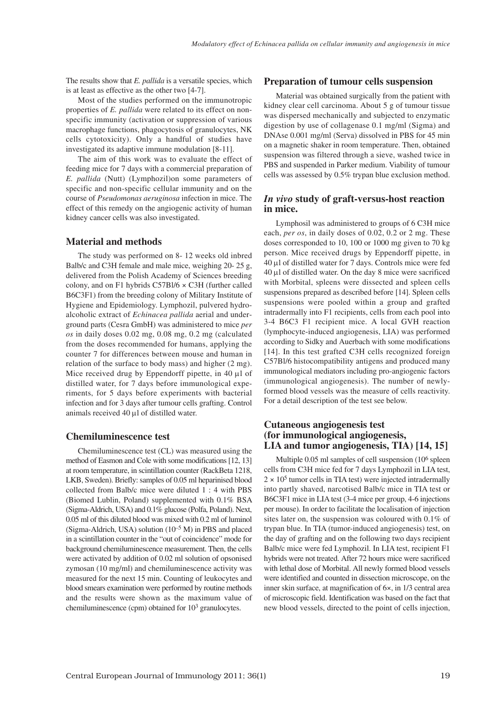The results show that *E. pallida* is a versatile species, which is at least as effective as the other two [4-7].

Most of the studies performed on the immunotropic properties of *E. pallida* were related to its effect on nonspecific immunity (activation or suppression of various macrophage functions, phagocytosis of granulocytes, NK cells cytotoxicity). Only a handful of studies have investigated its adaptive immune modulation [8-11].

The aim of this work was to evaluate the effect of feeding mice for 7 days with a commercial preparation of *E. pallida* (Nutt) (Lymphozil)on some parameters of specific and non-specific cellular immunity and on the course of *Pseudomonas aeruginosa* infection in mice. The effect of this remedy on the angiogenic activity of human kidney cancer cells was also investigated.

#### **Material and methods**

The study was performed on 8- 12 weeks old inbred Balb/c and C3H female and male mice, weighing 20-25 g, delivered from the Polish Academy of Sciences breeding colony, and on F1 hybrids C57Bl/6 × C3H (further called B6C3F1) from the breeding colony of Military Institute of Hygiene and Epidemiology. Lymphozil, pulvered hydroalcoholic extract of *Echinacea pallida* aerial and under ground parts (Cesra GmbH) was administered to mice *per os* in daily doses 0.02 mg, 0.08 mg, 0.2 mg (calculated from the doses recommended for humans, applying the counter 7 for differences between mouse and human in relation of the surface to body mass) and higher (2 mg). Mice received drug by Eppendorff pipette, in 40 μl of distilled water, for 7 days before immunological experiments, for 5 days before experiments with bacterial infection and for 3 days after tumour cells grafting. Control animals received 40 μl of distilled water.

#### **Chemiluminescence test**

Chemiluminescence test (CL) was measured using the method of Easmon and Cole with some modifications [12, 13] at room temperature, in scintillation counter (RackBeta 1218, LKB, Sweden). Briefly: samples of 0.05 ml heparinised blood collected from Balb/c mice were diluted 1 : 4 with PBS (Biomed Lublin, Poland) supplemented with 0.1% BSA (Sigma-Aldrich, USA) and 0.1% glucose (Polfa, Poland). Next, 0.05 ml of this diluted blood was mixed with 0.2 ml of luminol (Sigma-Aldrich, USA) solution  $(10^{-5} M)$  in PBS and placed in a scintillation counter in the "out of coincidence" mode for background chemiluminescence measurement. Then, the cells were activated by addition of 0.02 ml solution of opsonised zymosan (10 mg/ml) and chemiluminescence activity was measured for the next 15 min. Counting of leukocytes and blood smears examination were performed by routine methods and the results were shown as the maximum value of chemiluminescence (cpm) obtained for 103 granulocytes.

## **Preparation of tumour cells suspension**

Material was obtained surgically from the patient with kidney clear cell carcinoma. About 5 g of tumour tissue was dispersed mechanically and subjected to enzymatic digestion by use of collagenase 0.1 mg/ml (Sigma) and DNAse 0.001 mg/ml (Serva) dissolved in PBS for 45 min on a magnetic shaker in room temperature. Then, obtained suspension was filtered through a sieve, washed twice in PBS and suspended in Parker medium. Viability of tumour cells was assessed by 0.5% trypan blue exclusion method.

### *In vivo* **study of graft-versus-host reaction in mice.**

Lymphosil was administered to groups of 6 C3H mice each, *per os*, in daily doses of 0.02, 0.2 or 2 mg. These doses corresponded to 10, 100 or 1000 mg given to 70 kg person. Mice received drugs by Eppendorff pipette, in 40 μl of distilled water for 7 days. Controls mice were fed 40 μl of distilled water. On the day 8 mice were sacrificed with Morbital, spleens were dissected and spleen cells suspensions prepared as described before [14]. Spleen cells suspensions were pooled within a group and grafted intradermally into F1 recipients, cells from each pool into 3-4 B6C3 F1 recipient mice. A local GVH reaction (lymphocyte-induced angiogenesis, LIA) was performed according to Sidky and Auerbach with some modifications [14]. In this test grafted C3H cells recognized foreign C57Bl/6 histocompatibility antigens and produced many immunological mediators including pro-angiogenic factors (immunological angiogenesis). The number of newlyformed blood vessels was the measure of cells reactivity. For a detail description of the test see below.

## **Cutaneous angiogenesis test (for immunological angiogenesis, LIA and tumor angiogenesis, TIA) [14, 15]**

Multiple 0.05 ml samples of cell suspension (106 spleen cells from C3H mice fed for 7 days Lymphozil in LIA test,  $2 \times 10^5$  tumor cells in TIA test) were injected intradermally into partly shaved, narcotised Balb/c mice in TIA test or B6C3F1 mice in LIA test (3-4 mice per group, 4-6 injections per mouse). In order to facilitate the localisation of injection sites later on, the suspension was coloured with 0.1% of trypan blue. In TIA (tumor-induced angiogenesis) test, on the day of grafting and on the following two days recipient Balb/c mice were fed Lymphozil. In LIA test, recipient F1 hybrids were not treated. After 72 hours mice were sacrificed with lethal dose of Morbital. All newly formed blood vessels were identified and counted in dissection microscope, on the inner skin surface, at magnification of 6×, in 1/3 central area of microscopic field. Identification was based on the fact that new blood vessels, directed to the point of cells injection,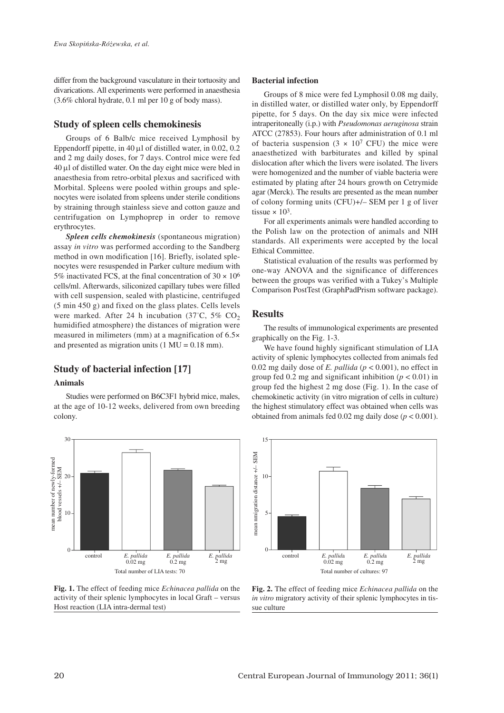differ from the background vasculature in their tortuosity and divarications. All experiments were performed in anaesthesia (3.6% chloral hydrate, 0.1 ml per 10 g of body mass).

# **Study of spleen cells chemokinesis**

Groups of 6 Balb/c mice received Lymphosil by Eppendorff pipette, in 40 μl of distilled water, in 0.02, 0.2 and 2 mg daily doses, for 7 days. Control mice were fed 40 μl of distilled water. On the day eight mice were bled in anaesthesia from retro-orbital plexus and sacrificed with Morbital. Spleens were pooled within groups and sple nocytes were isolated from spleens under sterile conditions by straining through stainless sieve and cotton gauze and centrifugation on Lymphoprep in order to remove erythrocytes.

*Spleen cells chemokinesis* (spontaneous migration) assay *in vitro* was performed according to the Sandberg method in own modification [16]. Briefly, isolated splenocytes were resuspended in Parker culture medium with 5% inactivated FCS, at the final concentration of  $30 \times 10^6$ cells/ml. Afterwards, siliconized capillary tubes were filled with cell suspension, sealed with plasticine, centrifuged (5 min 450 g) and fixed on the glass plates. Cells levels were marked. After 24 h incubation (37°C, 5% CO<sub>2</sub> humidified atmosphere) the distances of migration were measured in milimeters (mm) at a magnification of 6.5× and presented as migration units  $(1 \text{ MU} = 0.18 \text{ mm})$ .

# **Study of bacterial infection [17]**

#### **Animals**

Studies were performed on B6C3F1 hybrid mice, males, at the age of 10-12 weeks, delivered from own breeding colony.



#### **Fig. 1.** The effect of feeding mice *Echinacea pallida* on the activity of their splenic lymphocytes in local Graft – versus Host reaction (LIA intra-dermal test)

#### **Bacterial infection**

Groups of 8 mice were fed Lymphosil 0.08 mg daily, in distilled water, or distilled water only, by Eppendorff pipette, for 5 days. On the day six mice were infected intraperitoneally (i.p.) with *Pseudomonas aeruginosa* strain ATCC (27853). Four hours after administration of 0.1 ml of bacteria suspension  $(3 \times 10^7 \text{ CFU})$  the mice were anaesthetized with barbiturates and killed by spinal dislocation after which the livers were isolated. The livers were homogenized and the number of viable bacteria were estimated by plating after 24 hours growth on Cetrymide agar (Merck). The results are presented as the mean number of colony forming units (CFU)+/– SEM per 1 g of liver tissue  $\times$  10<sup>3</sup>.

For all experiments animals were handled according to the Polish law on the protection of animals and NIH standards. All experiments were accepted by the local Ethical Committee.

Statistical evaluation of the results was performed by one-way ANOVA and the significance of differences between the groups was verified with a Tukey's Multiple Comparison PostTest (GraphPadPrism software package).

# **Results**

The results of immunological experiments are presented graphically on the Fig. 1-3.

We have found highly significant stimulation of LIA activity of splenic lymphocytes collected from animals fed 0.02 mg daily dose of *E. pallida* (*p* < 0.001), no effect in group fed 0.2 mg and significant inhibition  $(p < 0.01)$  in group fed the highest 2 mg dose (Fig. 1). In the case of chemokinetic activity (in vitro migration of cells in culture) the highest stimulatory effect was obtained when cells was obtained from animals fed  $0.02$  mg daily dose ( $p < 0.001$ ).



**Fig. 2.** The effect of feeding mice *Echinacea pallida* on the *in vitro* migratory activity of their splenic lymphocytes in tissue culture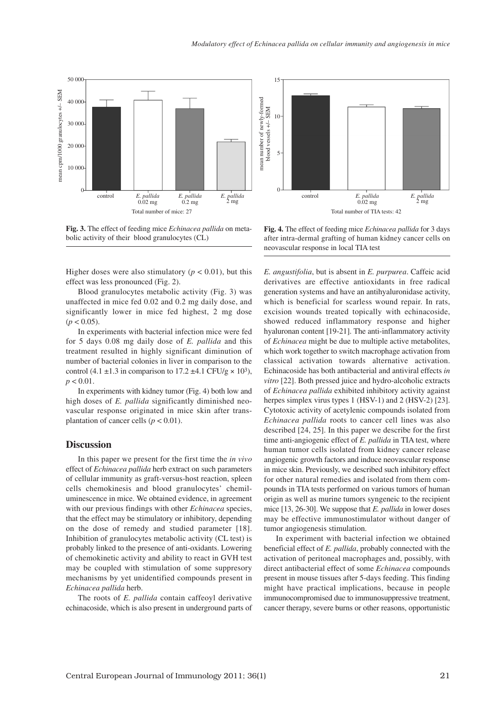

**Fig. 3.** The effect of feeding mice *Echinacea pallida* on metabolic activity of their blood granulocytes (CL)

Higher doses were also stimulatory ( $p < 0.01$ ), but this effect was less pronounced (Fig. 2).

Blood granulocytes metabolic activity (Fig. 3) was unaffected in mice fed 0.02 and 0.2 mg daily dose, and significantly lower in mice fed highest, 2 mg dose  $(p < 0.05)$ .

In experiments with bacterial infection mice were fed for 5 days 0.08 mg daily dose of *E. pallida* and this treatment resulted in highly significant diminution of number of bacterial colonies in liver in comparison to the control (4.1  $\pm$ 1.3 in comparison to 17.2  $\pm$ 4.1 CFU/g  $\times$  10<sup>3</sup>),  $p < 0.01$ .

In experiments with kidney tumor (Fig. 4) both low and high doses of *E. pallida* significantly diminished neovascular response originated in mice skin after trans plantation of cancer cells ( $p < 0.01$ ).

#### **Discussion**

In this paper we present for the first time the *in vivo* effect of *Echinacea pallida* herb extract on such parameters of cellular immunity as graft-versus-host reaction, spleen cells chemokinesis and blood granulocytes' chemiluminescence in mice. We obtained evidence, in agreement with our previous findings with other *Echinacea* species, that the effect may be stimulatory or inhibitory, depending on the dose of remedy and studied parameter [18]. Inhibition of granulocytes metabolic activity (CL test) is probably linked to the presence of anti-oxidants. Lowering of chemokinetic activity and ability to react in GVH test may be coupled with stimulation of some suppresory mechanisms by yet unidentified compounds present in *Echinacea pallida* herb.

The roots of *E. pallida* contain caffeoyl derivative echinacoside, which is also present in underground parts of



**Fig. 4.** The effect of feeding mice *Echinacea pallida* for 3 days after intra-dermal grafting of human kidney cancer cells on neovascular response in local TIA test

*E. angustifolia*, but is absent in *E. purpurea*. Caffeic acid derivatives are effective antioxidants in free radical generation systems and have an antihyaluronidase activity, which is beneficial for scarless wound repair. In rats, excision wounds treated topically with echinacoside, showed reduced inflammatory response and higher hyaluronan content [19-21]. The anti-inflammatory activity of *Echinacea* might be due to multiple active metabolites, which work together to switch macrophage activation from classical activation towards alternative activation. Echinacoside has both antibacterial and antiviral effects *in vitro* [22]. Both pressed juice and hydro-alcoholic extracts of *Echinacea pallida* exhibited inhibitory activity against herpes simplex virus types 1 (HSV-1) and 2 (HSV-2) [23]. Cytotoxic activity of acetylenic compounds isolated from *Echinacea pallida* roots to cancer cell lines was also described [24, 25]. In this paper we describe for the first time anti-angiogenic effect of *E. pallida* in TIA test, where human tumor cells isolated from kidney cancer release angiogenic growth factors and induce neovascular response in mice skin. Previously, we described such inhibitory effect for other natural remedies and isolated from them compounds in TIA tests performed on various tumors of human origin as well as murine tumors syngeneic to the recipient mice [13, 26-30]. We suppose that *E. pallida* in lower doses may be effective immunostimulator without danger of tumor angiogenesis stimulation.

In experiment with bacterial infection we obtained beneficial effect of *E. pallida*, probably connected with the activation of peritoneal macrophages and, possibly, with direct antibacterial effect of some *Echinacea* compounds present in mouse tissues after 5-days feeding. This finding might have practical implications, because in people immunocompromised due to immunosuppressive treatment, cancer therapy, severe burns or other reasons, opportunistic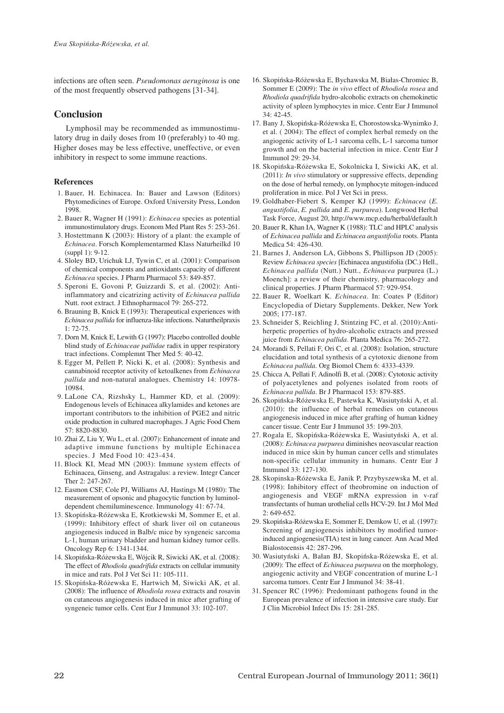infections are often seen. *Pseudomonas aeruginosa* is one of the most frequently observed pathogens [31-34].

## **Conclusion**

Lymphosil may be recommended as immunostimu latory drug in daily doses from 10 (preferably) to 40 mg. Higher doses may be less effective, uneffective, or even inhibitory in respect to some immune reactions.

#### **References**

- 1. Bauer, H. Echinacea. In: Bauer and Lawson (Editors) Phytomedicines of Europe. Oxford University Press, London 1998.
- 2. Bauer R, Wagner H (1991): *Echinacea* species as potential immunostimulatory drugs. Econom Med Plant Res 5: 253-261.
- 3. Hostettmann K (2003): History of a plant: the example of *Echinacea*. Forsch Komplementarmed Klass Naturheilkd 10  $(sumb1): 9-12.$
- 4. Sloley BD, Urichuk LJ, Tywin C, et al. (2001): Comparison of chemical components and antioxidants capacity of different *Echinacea* species. J Pharm Pharmacol 53: 849-857.
- 5. Speroni E, Govoni P, Guizzardi S, et al. (2002): Antiinflammatory and cicatrizing activity of *Echinacea pallida* Nutt. root extract. J Ethnopharmacol 79: 265-272.
- 6. Brauning B, Knick E (1993): Therapeutical experiences with *Echinacea pallida* for influenza-like infections. Naturtheilpraxis 1: 72-75.
- 7. Dorn M, Knick E, Lewith G (1997): Placebo controlled double blind study of *Echinaceae pallidae* radix in upper respiratory tract infections. Complemnt Ther Med 5: 40-42.
- 8. Egger M, Pellett P, Nicki K, et al. (2008): Synthesis and cannabinoid receptor activity of ketoalkenes from *Echinacea pallida* and non-natural analogues. Chemistry 14: 10978- 10984.
- 9. LaLone CA, Rizshsky L, Hammer KD, et al. (2009): Endogenous levels of Echinacea alkylamides and ketones are important contributors to the inhibition of PGE2 and nitric oxide production in cultured macrophages. J Agric Food Chem 57: 8820-8830.
- 10. Zhai Z, Liu Y, Wu L, et al. (2007): Enhancement of innate and adaptive immune functions by multiple Echinacea species. J Med Food 10: 423-434.
- 11. Block KI, Mead MN (2003): Immune system effects of Echinacea, Ginseng, and Astragalus: a review. Integr Cancer Ther 2: 247-267.
- 12. Easmon CSF, Cole PJ, Williams AJ, Hastings M (1980): The measurement of opsonic and phagocytic function by luminoldependent chemiluminescence. Immunology 41: 67-74.
- 13. Skopiñska-Ró¿ewska E, Krotkiewski M, Sommer E, et al. (1999): Inhibitory effect of shark liver oil on cutaneous angiogenesis induced in Balb/c mice by syngeneic sarcoma L-1, human urinary bladder and human kidney tumor cells. Oncology Rep 6: 1341-1344.
- 14. Skopiñska-Ró¿ewska E, Wójcik R, Siwicki AK, et al. (2008): The effect of *Rhodiola quadrifida* extracts on cellular immunity in mice and rats. Pol J Vet Sci 11: 105-111.
- 15. Skopiñska-Ró¿ewska E, Hartwich M, Siwicki AK, et al. (2008): The influence of *Rhodiola rosea* extracts and rosavin on cutaneous angiogenesis induced in mice after grafting of syngeneic tumor cells. Cent Eur J Immunol 33: 102-107.
- 16. Skopińska-Różewska E, Bychawska M, Białas-Chromiec B, Sommer E (2009): The *in vivo* effect of *Rhodiola rosea* and *Rhodiola quadrifida* hydro-alcoholic extracts on chemokinetic activity of spleen lymphocytes in mice. Centr Eur J Immunol 34: 42-45.
- 17. Bany J, Skopiñska-Ró¿ewska E, Chorostowska-Wynimko J, et al. ( 2004): The effect of complex herbal remedy on the angiogenic activity of L-1 sarcoma cells, L-1 sarcoma tumor growth and on the bacterial infection in mice. Centr Eur J Immunol 29: 29-34.
- 18. Skopiñska-Ró¿ewska E, Sokolnicka I, Siwicki AK, et al. (2011): *In vivo* stimulatory or suppressive effects, depending on the dose of herbal remedy, on lymphocyte mitogen-induced proliferation in mice. Pol J Vet Sci in press.
- 19. Goldhaber-Fiebert S, Kemper KJ (1999): *Echinacea* (*E. angustifolia*, *E. pallida* and *E. purpurea*). Longwood Herbal Task Force, August 20, http://www.mcp.edu/herbal/default.h
- 20. Bauer R, Khan IA, Wagner K (1988): TLC and HPLC analysis of *Echinacea pallida* and *Echinacea angustifolia* roots. Planta Medica 54: 426-430.
- 21. Barnes J, Anderson LA, Gibbons S, Phillipson JD (2005): Review *Echinacea species* [Echinacea angustifolia (DC.) Hell., *Echinacea pallida* (Nutt.) Nutt., *Echinacea* purpurea (L.) Moench]: a review of their chemistry, pharmacology and clinical properties. J Pharm Pharmacol 57: 929-954.
- 22. Bauer R, Woelkart K. *Echinacea*. In: Coates P (Editor) Encyclopedia of Dietary Supplements. Dekker, New York 2005; 177-187.
- 23. Schneider S, Reichling J, Stintzing FC, et al. (2010):Antiherpetic properties of hydro-alcoholic extracts and pressed juice from *Echinacea pallida*. Planta Medica 76: 265-272.
- 24. Morandi S, Pellati F, Ori C, et al. (2008): Isolation, structure elucidation and total synthesis of a cytotoxic dienone from *Echinacea pallida*. Org Biomol Chem 6: 4333-4339.
- 25. Chicca A, Pellati F, Adinolfi B, et al. (2008): Cytotoxic activity of polyacetylenes and polyenes isolated from roots of *Echinacea pallida*. Br J Pharmacol 153: 879-885.
- 26. Skopiñska-Ró¿ewska E, Pastewka K, Wasiutyñski A, et al. (2010): the influence of herbal remedies on cutaneous angiogenesis induced in mice after grafting of human kidney cancer tissue. Centr Eur J Immunol 35: 199-203.
- 27. Rogala E, Skopiñska-Ró¿ewska E, Wasiutyñski A, et al. (2008): *Echinacea purpurea* diminishes neovascular reaction induced in mice skin by human cancer cells and stimulates non-specific cellular immunity in humans. Centr Eur J Immunol 33: 127-130.
- 28. Skopinska-Ró¿ewska E, Janik P, Przybyszewska M, et al. (1998): Inhibitory effect of theobromine on induction of angiogenesis and VEGF mRNA expression in v-raf transfectants of human urothelial cells HCV-29. Int J Mol Med 2: 649-652.
- 29. Skopiñska-Ró¿ewska E, Sommer E, Demkow U, et al. (1997): Screening of angiogenesis inhibitors by modified tumorinduced angiogenesis(TIA) test in lung cancer. Ann Acad Med Bialostocensis 42: 287-296.
- 30. Wasiutyński A, Bałan BJ, Skopińska-Różewska E, et al. (2009): The effect of *Echinacea purpurea* on the morphology, angiogenic activity and VEGF concentration of murine L-1 sarcoma tumors. Centr Eur J Immunol 34: 38-41.
- 31. Spencer RC (1996): Predominant pathogens found in the European prevalence of infection in intensive care study. Eur J Clin Microbiol Infect Dis 15: 281-285.